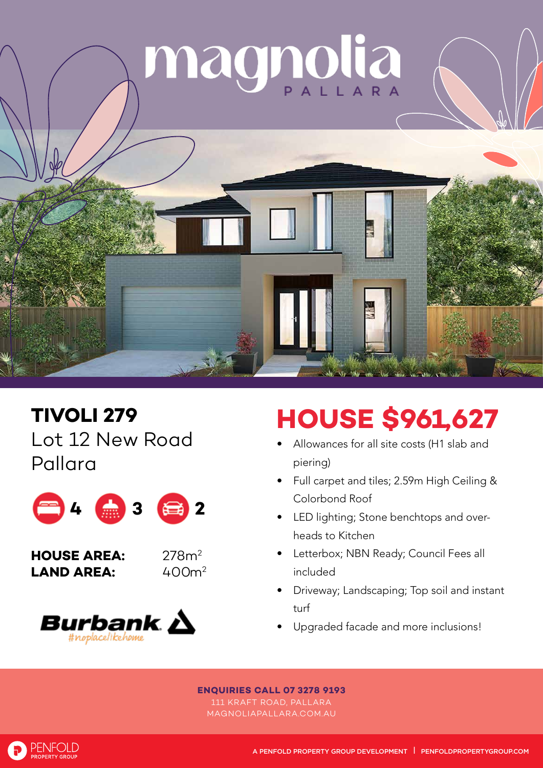

**TIVOLI 279** Lot 12 New Road Pallara



**HOUSE AREA:** 278m2 **LAND AREA:** 





## **HOUSE \$961,627**

- Allowances for all site costs (H1 slab and piering)
- Full carpet and tiles; 2.59m High Ceiling & Colorbond Roof
- LED lighting; Stone benchtops and overheads to Kitchen
- Letterbox; NBN Ready; Council Fees all included
- Driveway; Landscaping; Top soil and instant turf
- Upgraded facade and more inclusions!

## **ENQUIRIES CALL 07 3278 9193**